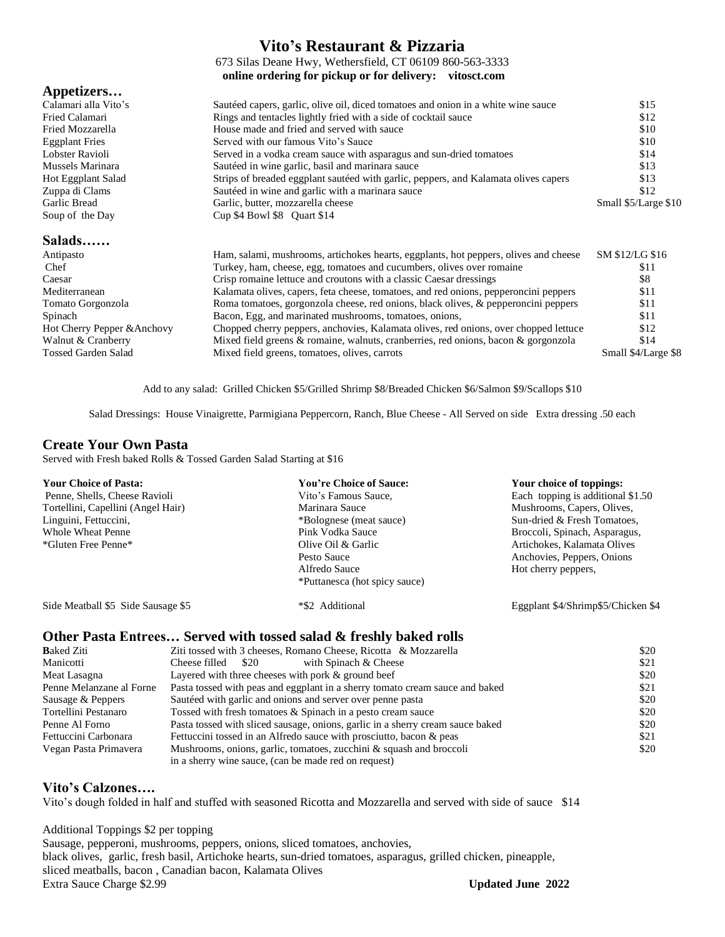### **Vito's Restaurant & Pizzaria**

673 Silas Deane Hwy, Wethersfield, CT 06109 860-563-3333 **online ordering for pickup or for delivery: vitosct.com**

### **Appetizers…**

| Calamari alla Vito's        | Sautéed capers, garlic, olive oil, diced tomatoes and onion in a white wine sauce    | \$15                 |
|-----------------------------|--------------------------------------------------------------------------------------|----------------------|
| Fried Calamari              | Rings and tentacles lightly fried with a side of cocktail sauce                      | \$12                 |
| Fried Mozzarella            | House made and fried and served with sauce                                           | \$10                 |
| <b>Eggplant Fries</b>       | Served with our famous Vito's Sauce                                                  | \$10                 |
| Lobster Ravioli             | Served in a vodka cream sauce with asparagus and sun-dried tomatoes                  | \$14                 |
| Mussels Marinara            | Sautéed in wine garlic, basil and marinara sauce                                     | \$13                 |
| Hot Eggplant Salad          | Strips of breaded eggplant sautéed with garlic, peppers, and Kalamata olives capers  | \$13                 |
| Zuppa di Clams              | Sautéed in wine and garlic with a marinara sauce                                     | \$12                 |
| Garlic Bread                | Garlic, butter, mozzarella cheese                                                    | Small \$5/Large \$10 |
| Soup of the Day             | Cup $$4$ Bowl $$8$ Quart $$14$                                                       |                      |
| Salads                      |                                                                                      |                      |
| Antipasto                   | Ham, salami, mushrooms, artichokes hearts, eggplants, hot peppers, olives and cheese | SM \$12/LG \$16      |
| Chef                        | Turkey, ham, cheese, egg, tomatoes and cucumbers, olives over romaine                | \$11                 |
| Caesar                      | Crisp romaine lettuce and croutons with a classic Caesar dressings                   | \$8                  |
| Mediterranean               | Kalamata olives, capers, feta cheese, tomatoes, and red onions, pepperoncini peppers | \$11                 |
| Tomato Gorgonzola           | Roma tomatoes, gorgonzola cheese, red onions, black olives, & pepperoncini peppers   | \$11                 |
| Spinach                     | Bacon, Egg, and marinated mushrooms, tomatoes, onions,                               | \$11                 |
| Hot Cherry Pepper & Anchovy | Chopped cherry peppers, anchovies, Kalamata olives, red onions, over chopped lettuce | \$12                 |
|                             |                                                                                      |                      |

Add to any salad: Grilled Chicken \$5/Grilled Shrimp \$8/Breaded Chicken \$6/Salmon \$9/Scallops \$10

Walnut & Cranberry Mixed field greens & romaine, walnuts, cranberries, red onions, bacon & gorgonzola \$14 Tossed Garden Salad Mixed field greens, tomatoes, olives, carrots Small \$4/Large \$8

Salad Dressings: House Vinaigrette, Parmigiana Peppercorn, Ranch, Blue Cheese - All Served on side Extra dressing .50 each

### **Create Your Own Pasta**

Served with Fresh baked Rolls & Tossed Garden Salad Starting at \$16

| <b>Your Choice of Pasta:</b>       | <b>You're Choice of Sauce:</b> | Your choice of toppings:           |
|------------------------------------|--------------------------------|------------------------------------|
| Penne, Shells, Cheese Ravioli      | Vito's Famous Sauce,           | Each topping is additional \$1.50  |
| Tortellini, Capellini (Angel Hair) | Marinara Sauce                 | Mushrooms, Capers, Olives,         |
| Linguini, Fettuccini,              | *Bolognese (meat sauce)        | Sun-dried & Fresh Tomatoes,        |
| Whole Wheat Penne                  | Pink Vodka Sauce               | Broccoli, Spinach, Asparagus,      |
| *Gluten Free Penne*                | Olive Oil & Garlic             | Artichokes, Kalamata Olives        |
|                                    | Pesto Sauce                    | Anchovies, Peppers, Onions         |
|                                    | Alfredo Sauce                  | Hot cherry peppers,                |
|                                    | *Puttanesca (hot spicy sauce)  |                                    |
| Side Meatball \$5 Side Sausage \$5 | *\$2 Additional                | Eggplant \$4/Shrimp\$5/Chicken \$4 |

### **Other Pasta Entrees… Served with tossed salad & freshly baked rolls**

| <b>B</b> aked Ziti       | Ziti tossed with 3 cheeses, Romano Cheese, Ricotta & Mozzarella                | \$20 |
|--------------------------|--------------------------------------------------------------------------------|------|
| Manicotti                | Cheese filled \$20<br>with Spinach & Cheese                                    | \$21 |
| Meat Lasagna             | Layered with three cheeses with pork $&$ ground beef                           | \$20 |
| Penne Melanzane al Forne | Pasta tossed with peas and eggplant in a sherry tomato cream sauce and baked   | \$21 |
| Sausage & Peppers        | Sautéed with garlic and onions and server over penne pasta                     | \$20 |
| Tortellini Pestanaro     | Tossed with fresh tomatoes & Spinach in a pesto cream sauce                    | \$20 |
| Penne Al Forno           | Pasta tossed with sliced sausage, onions, garlic in a sherry cream sauce baked | \$20 |
| Fettuccini Carbonara     | Fettuccini tossed in an Alfredo sauce with prosciutto, bacon & peas            | \$21 |
| Vegan Pasta Primavera    | Mushrooms, onions, garlic, tomatoes, zucchini & squash and broccoli            | \$20 |
|                          | in a sherry wine sauce, (can be made red on request)                           |      |

### **Vito's Calzones….**

Vito's dough folded in half and stuffed with seasoned Ricotta and Mozzarella and served with side of sauce \$14

#### Additional Toppings \$2 per topping

Sausage, pepperoni, mushrooms, peppers, onions, sliced tomatoes, anchovies, black olives, garlic, fresh basil, Artichoke hearts, sun-dried tomatoes, asparagus, grilled chicken, pineapple, sliced meatballs, bacon , Canadian bacon, Kalamata Olives Extra Sauce Charge \$2.99 **Updated June 2022**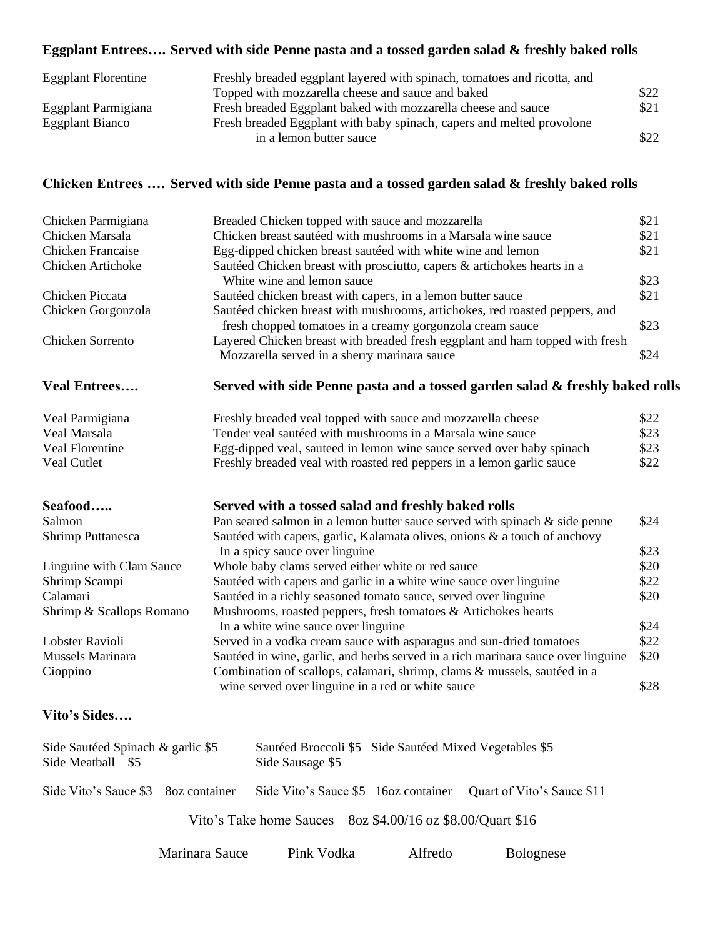## **Eggplant Entrees…. Served with side Penne pasta and a tossed garden salad & freshly baked rolls**

| <b>Eggplant Florentine</b> | Freshly breaded eggplant layered with spinach, tomatoes and ricotta, and |      |
|----------------------------|--------------------------------------------------------------------------|------|
|                            | Topped with mozzarella cheese and sauce and baked                        | \$22 |
| Eggplant Parmigiana        | Fresh breaded Eggplant baked with mozzarella cheese and sauce            | \$21 |
| Eggplant Bianco            | Fresh breaded Eggplant with baby spinach, capers and melted provolone    |      |
|                            | in a lemon butter sauce                                                  | \$22 |

### **Chicken Entrees …. Served with side Penne pasta and a tossed garden salad & freshly baked rolls**

| Chicken Parmigiana                | Breaded Chicken topped with sauce and mozzarella                                                                                         | \$21 |
|-----------------------------------|------------------------------------------------------------------------------------------------------------------------------------------|------|
| Chicken Marsala                   | Chicken breast sautéed with mushrooms in a Marsala wine sauce                                                                            | \$21 |
| <b>Chicken Francaise</b>          | Egg-dipped chicken breast sautéed with white wine and lemon                                                                              | \$21 |
| Chicken Artichoke                 | Sautéed Chicken breast with prosciutto, capers & artichokes hearts in a                                                                  |      |
|                                   | White wine and lemon sauce                                                                                                               | \$23 |
| Chicken Piccata                   | Sautéed chicken breast with capers, in a lemon butter sauce                                                                              | \$21 |
| Chicken Gorgonzola                | Sautéed chicken breast with mushrooms, artichokes, red roasted peppers, and<br>fresh chopped tomatoes in a creamy gorgonzola cream sauce | \$23 |
| Chicken Sorrento                  | Layered Chicken breast with breaded fresh eggplant and ham topped with fresh<br>Mozzarella served in a sherry marinara sauce             | \$24 |
|                                   |                                                                                                                                          |      |
| <b>Veal Entrees</b>               | Served with side Penne pasta and a tossed garden salad & freshly baked rolls                                                             |      |
| Veal Parmigiana                   | Freshly breaded veal topped with sauce and mozzarella cheese                                                                             | \$22 |
| Veal Marsala                      | Tender veal sautéed with mushrooms in a Marsala wine sauce                                                                               | \$23 |
| Veal Florentine                   | Egg-dipped veal, sauteed in lemon wine sauce served over baby spinach                                                                    | \$23 |
| Veal Cutlet                       | Freshly breaded veal with roasted red peppers in a lemon garlic sauce                                                                    | \$22 |
| Seafood                           | Served with a tossed salad and freshly baked rolls                                                                                       |      |
| Salmon                            | Pan seared salmon in a lemon butter sauce served with spinach $\&$ side penne                                                            | \$24 |
| Shrimp Puttanesca                 | Sautéed with capers, garlic, Kalamata olives, onions & a touch of anchovy                                                                |      |
|                                   | In a spicy sauce over linguine                                                                                                           | \$23 |
| Linguine with Clam Sauce          | Whole baby clams served either white or red sauce                                                                                        | \$20 |
| Shrimp Scampi                     | Sautéed with capers and garlic in a white wine sauce over linguine                                                                       | \$22 |
| Calamari                          | Sautéed in a richly seasoned tomato sauce, served over linguine                                                                          | \$20 |
| Shrimp & Scallops Romano          | Mushrooms, roasted peppers, fresh tomatoes & Artichokes hearts                                                                           |      |
|                                   | In a white wine sauce over linguine                                                                                                      | \$24 |
| Lobster Ravioli                   | Served in a vodka cream sauce with asparagus and sun-dried tomatoes                                                                      | \$22 |
| Mussels Marinara                  | Sautéed in wine, garlic, and herbs served in a rich marinara sauce over linguine                                                         | \$20 |
| Cioppino                          | Combination of scallops, calamari, shrimp, clams & mussels, sautéed in a                                                                 |      |
|                                   | wine served over linguine in a red or white sauce                                                                                        | \$28 |
| Vito's Sides                      |                                                                                                                                          |      |
| Side Sautéed Spinach & garlic \$5 | Sautéed Broccoli \$5 Side Sautéed Mixed Vegetables \$5                                                                                   |      |
| Side Meatball \$5                 | Side Sausage \$5                                                                                                                         |      |
| Side Vito's Sauce \$3             | Side Vito's Sauce \$5 16oz container<br>Ouart of Vito's Sauce \$11<br>80z container                                                      |      |

Vito's Take home Sauces – 8oz \$4.00/16 oz \$8.00/Quart \$16

| Marinara Sauce | Pink Vodka | Alfredo | <b>Bolognese</b> |
|----------------|------------|---------|------------------|
|----------------|------------|---------|------------------|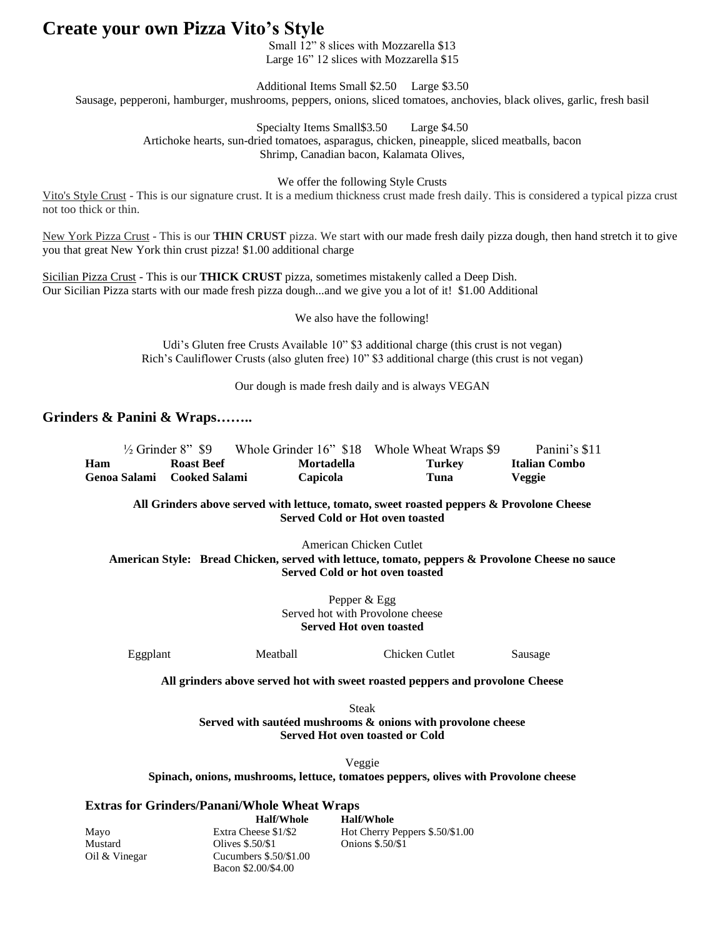## **Create your own Pizza Vito's Style**

Small 12" 8 slices with Mozzarella \$13 Large 16" 12 slices with Mozzarella \$15

Additional Items Small \$2.50 Large \$3.50 Sausage, pepperoni, hamburger, mushrooms, peppers, onions, sliced tomatoes, anchovies, black olives, garlic, fresh basil

> Specialty Items Small\$3.50 Large \$4.50 Artichoke hearts, sun-dried tomatoes, asparagus, chicken, pineapple, sliced meatballs, bacon Shrimp, Canadian bacon, Kalamata Olives,

> > We offer the following Style Crusts

Vito's Style Crust - This is our signature crust. It is a medium thickness crust made fresh daily. This is considered a typical pizza crust not too thick or thin.

New York Pizza Crust - This is our **THIN CRUST** pizza. We start with our made fresh daily pizza dough, then hand stretch it to give you that great New York thin crust pizza! \$1.00 additional charge

Sicilian Pizza Crust - This is our **THICK CRUST** pizza, sometimes mistakenly called a Deep Dish. Our Sicilian Pizza starts with our made fresh pizza dough...and we give you a lot of it! \$1.00 Additional

We also have the following!

Udi's Gluten free Crusts Available 10" \$3 additional charge (this crust is not vegan) Rich's Cauliflower Crusts (also gluten free) 10" \$3 additional charge (this crust is not vegan)

Our dough is made fresh daily and is always VEGAN

### **Grinders & Panini & Wraps……..**

|     | $\frac{1}{2}$ Grinder 8" \$9 |                   | Whole Grinder 16" \$18 Whole Wheat Wraps \$9 | Panini's \$11 |
|-----|------------------------------|-------------------|----------------------------------------------|---------------|
| Ham | <b>Roast Beef</b>            | <b>Mortadella</b> | Turkey                                       | Italian Combo |
|     | Genoa Salami — Cooked Salami | <b>Capicola</b>   | Tuna                                         | Veggie        |

**All Grinders above served with lettuce, tomato, sweet roasted peppers & Provolone Cheese Served Cold or Hot oven toasted**

American Chicken Cutlet **American Style: Bread Chicken, served with lettuce, tomato, peppers & Provolone Cheese no sauce Served Cold or hot oven toasted**

> Pepper & Egg Served hot with Provolone cheese **Served Hot oven toasted**

Eggplant Meatball Chicken Cutlet Sausage

**All grinders above served hot with sweet roasted peppers and provolone Cheese**

Steak **Served with sautéed mushrooms & onions with provolone cheese Served Hot oven toasted or Cold**

Veggie

**Spinach, onions, mushrooms, lettuce, tomatoes peppers, olives with Provolone cheese**

### **Extras for Grinders/Panani/Whole Wheat Wraps**

|               | <b>Half/Whole</b>      | <b>Half/Whole</b>               |
|---------------|------------------------|---------------------------------|
| Mayo          | Extra Cheese \$1/\$2   | Hot Cherry Peppers \$.50/\$1.00 |
| Mustard       | Olives \$.50/\$1       | Onions \$.50/\$1                |
| Oil & Vinegar | Cucumbers $$.50/$1.00$ |                                 |
|               | Bacon \$2.00/\$4.00    |                                 |